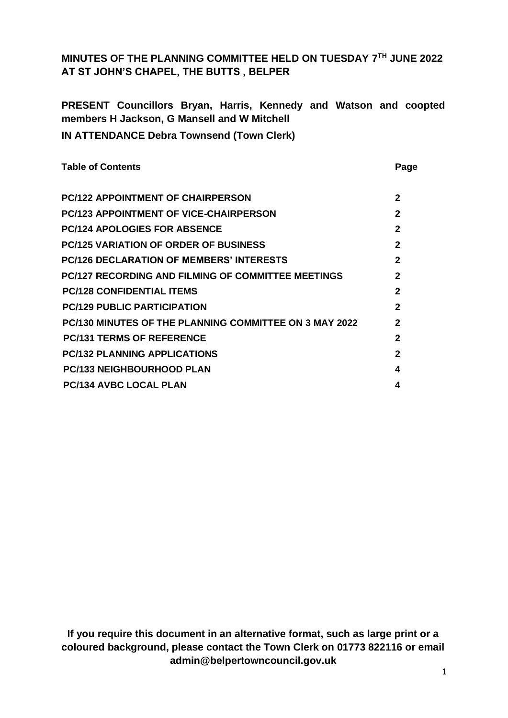## **MINUTES OF THE PLANNING COMMITTEE HELD ON TUESDAY 7 TH JUNE 2022 AT ST JOHN'S CHAPEL, THE BUTTS , BELPER**

**PRESENT Councillors Bryan, Harris, Kennedy and Watson and coopted members H Jackson, G Mansell and W Mitchell IN ATTENDANCE Debra Townsend (Town Clerk)**

| <b>Table of Contents</b>                                      | Page           |
|---------------------------------------------------------------|----------------|
| <b>PC/122 APPOINTMENT OF CHAIRPERSON</b>                      | $\mathbf{2}$   |
| <b>PC/123 APPOINTMENT OF VICE-CHAIRPERSON</b>                 | $\mathbf{2}$   |
| <b>PC/124 APOLOGIES FOR ABSENCE</b>                           | $\mathbf{2}$   |
| <b>PC/125 VARIATION OF ORDER OF BUSINESS</b>                  | $\mathbf{2}$   |
| <b>PC/126 DECLARATION OF MEMBERS' INTERESTS</b>               | $\mathbf{2}$   |
| <b>PC/127 RECORDING AND FILMING OF COMMITTEE MEETINGS</b>     | $\mathbf{2}$   |
| <b>PC/128 CONFIDENTIAL ITEMS</b>                              | $\mathbf{2}$   |
| <b>PC/129 PUBLIC PARTICIPATION</b>                            | $\mathfrak{p}$ |
| <b>PC/130 MINUTES OF THE PLANNING COMMITTEE ON 3 MAY 2022</b> | $\mathbf 2$    |
| <b>PC/131 TERMS OF REFERENCE</b>                              | $\mathbf{2}$   |
| <b>PC/132 PLANNING APPLICATIONS</b>                           | $\mathfrak{p}$ |
| <b>PC/133 NEIGHBOURHOOD PLAN</b>                              | 4              |
| <b>PC/134 AVBC LOCAL PLAN</b>                                 | 4              |

**If you require this document in an alternative format, such as large print or a coloured background, please contact the Town Clerk on 01773 822116 or email admin@belpertowncouncil.gov.uk**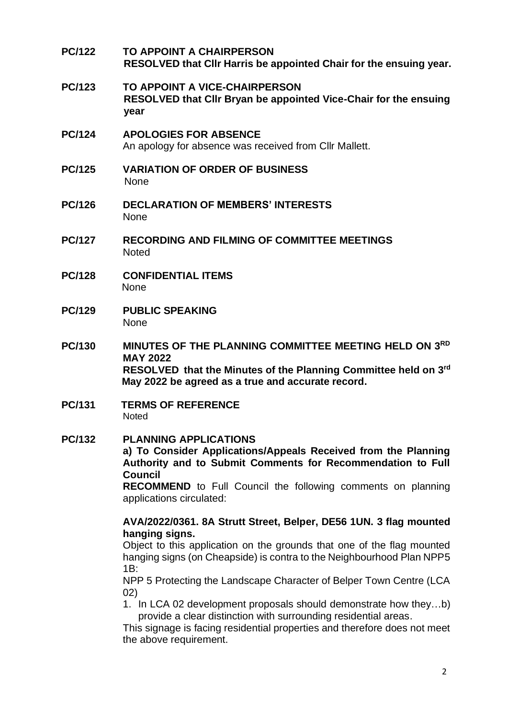| <b>PC/122</b> | <b>TO APPOINT A CHAIRPERSON</b><br>RESOLVED that Cllr Harris be appointed Chair for the ensuing year.                                                                                                                                                                                                                     |
|---------------|---------------------------------------------------------------------------------------------------------------------------------------------------------------------------------------------------------------------------------------------------------------------------------------------------------------------------|
| <b>PC/123</b> | TO APPOINT A VICE-CHAIRPERSON<br>RESOLVED that CIIr Bryan be appointed Vice-Chair for the ensuing<br>year                                                                                                                                                                                                                 |
| <b>PC/124</b> | <b>APOLOGIES FOR ABSENCE</b><br>An apology for absence was received from CIIr Mallett.                                                                                                                                                                                                                                    |
| <b>PC/125</b> | <b>VARIATION OF ORDER OF BUSINESS</b><br>None                                                                                                                                                                                                                                                                             |
| <b>PC/126</b> | <b>DECLARATION OF MEMBERS' INTERESTS</b><br><b>None</b>                                                                                                                                                                                                                                                                   |
| <b>PC/127</b> | <b>RECORDING AND FILMING OF COMMITTEE MEETINGS</b><br><b>Noted</b>                                                                                                                                                                                                                                                        |
| <b>PC/128</b> | <b>CONFIDENTIAL ITEMS</b><br><b>None</b>                                                                                                                                                                                                                                                                                  |
| <b>PC/129</b> | <b>PUBLIC SPEAKING</b><br><b>None</b>                                                                                                                                                                                                                                                                                     |
| <b>PC/130</b> | MINUTES OF THE PLANNING COMMITTEE MEETING HELD ON 3RD<br><b>MAY 2022</b><br>RESOLVED that the Minutes of the Planning Committee held on 3rd<br>May 2022 be agreed as a true and accurate record.                                                                                                                          |
| PC/131        | <b>TERMS OF REFERENCE</b><br><b>Noted</b>                                                                                                                                                                                                                                                                                 |
| <b>PC/132</b> | <b>PLANNING APPLICATIONS</b><br>a) To Consider Applications/Appeals Received from the Planning<br>Authority and to Submit Comments for Recommendation to Full<br><b>Council</b><br><b>RECOMMEND</b> to Full Council the following comments on planning<br>applications circulated:                                        |
|               | AVA/2022/0361. 8A Strutt Street, Belper, DE56 1UN. 3 flag mounted<br>hanging signs.<br>Object to this application on the grounds that one of the flag mounted<br>hanging signs (on Cheapside) is contra to the Neighbourhood Plan NPP5<br>1B:                                                                             |
|               | NPP 5 Protecting the Landscape Character of Belper Town Centre (LCA<br>(02)<br>1. In LCA 02 development proposals should demonstrate how theyb)<br>provide a clear distinction with surrounding residential areas.<br>This signage is facing residential properties and therefore does not meet<br>the above requirement. |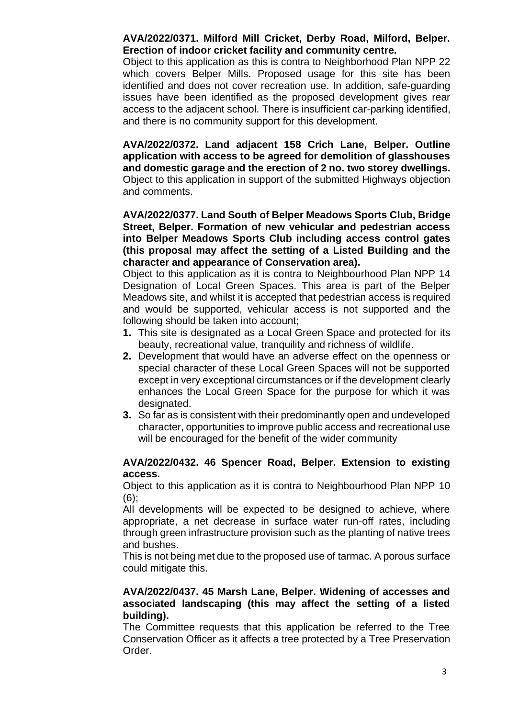## **AVA/2022/0371. Milford Mill Cricket, Derby Road, Milford, Belper. Erection of indoor cricket facility and community centre.**

Object to this application as this is contra to Neighborhood Plan NPP 22 which covers Belper Mills. Proposed usage for this site has been identified and does not cover recreation use. In addition, safe-guarding issues have been identified as the proposed development gives rear access to the adjacent school. There is insufficient car-parking identified, and there is no community support for this development.

**AVA/2022/0372. Land adjacent 158 Crich Lane, Belper. Outline application with access to be agreed for demolition of glasshouses and domestic garage and the erection of 2 no. two storey dwellings.**  Object to this application in support of the submitted Highways objection and comments.

#### **AVA/2022/0377. Land South of Belper Meadows Sports Club, Bridge Street, Belper. Formation of new vehicular and pedestrian access into Belper Meadows Sports Club including access control gates (this proposal may affect the setting of a Listed Building and the character and appearance of Conservation area).**

Object to this application as it is contra to Neighbourhood Plan NPP 14 Designation of Local Green Spaces. This area is part of the Belper Meadows site, and whilst it is accepted that pedestrian access is required and would be supported, vehicular access is not supported and the following should be taken into account;

- **1.** This site is designated as a Local Green Space and protected for its beauty, recreational value, tranquility and richness of wildlife.
- **2.** Development that would have an adverse effect on the openness or special character of these Local Green Spaces will not be supported except in very exceptional circumstances or if the development clearly enhances the Local Green Space for the purpose for which it was designated.
- **3.** So far as is consistent with their predominantly open and undeveloped character, opportunities to improve public access and recreational use will be encouraged for the benefit of the wider community

## **AVA/2022/0432. 46 Spencer Road, Belper. Extension to existing access.**

Object to this application as it is contra to Neighbourhood Plan NPP 10  $(6)$ ;

All developments will be expected to be designed to achieve, where appropriate, a net decrease in surface water run-off rates, including through green infrastructure provision such as the planting of native trees and bushes.

This is not being met due to the proposed use of tarmac. A porous surface could mitigate this.

## **AVA/2022/0437. 45 Marsh Lane, Belper. Widening of accesses and associated landscaping (this may affect the setting of a listed building).**

The Committee requests that this application be referred to the Tree Conservation Officer as it affects a tree protected by a Tree Preservation Order.